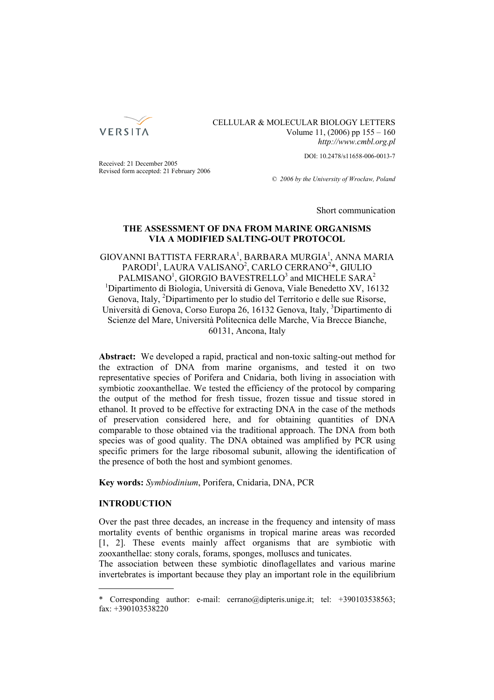

# CELLULAR & MOLECULAR BIOLOGY LETTERS Volume 11, (2006) pp 155 – 160 *http://www.cmbl.org.pl*

DOI: 10.2478/s11658-006-0013-7

Received: 21 December 2005 Revised form accepted: 21 February 2006

*© 2006 by the University of Wrocław, Poland*

Short communication

# **THE ASSESSMENT OF DNA FROM MARINE ORGANISMS VIA A MODIFIED SALTING-OUT PROTOCOL**

 $\rm GIOVANNI$  BATTISTA FERRARA $^1$ , BARBARA MUR $\rm GIA^1$ , ANNA MARIA PARODI<sup>1</sup>, LAURA VALISANO<sup>2</sup>, CARLO CERRANO<sup>2</sup>\*, GIULIO  $\mathrm{PALMISANO}^1, \mathrm{GIORGIO}$   $\mathrm{BAVESTRELLO}^3$  and  $\mathrm{MICHELE}$   $\mathrm{SARA}^2$ <sup>1</sup>Dipartimento di Biologia, Università di Genova, Viale Benedetto XV, 16132 Genova, Italy, <sup>2</sup>Dipartimento per lo studio del Territorio e delle sue Risorse, Università di Genova, Corso Europa 26, 16132 Genova, Italy, <sup>3</sup>Dipartimento di Scienze del Mare, Università Politecnica delle Marche, Via Brecce Bianche, 60131, Ancona, Italy

**Abstract:** We developed a rapid, practical and non-toxic salting-out method for the extraction of DNA from marine organisms, and tested it on two representative species of Porifera and Cnidaria, both living in association with symbiotic zooxanthellae. We tested the efficiency of the protocol by comparing the output of the method for fresh tissue, frozen tissue and tissue stored in ethanol. It proved to be effective for extracting DNA in the case of the methods of preservation considered here, and for obtaining quantities of DNA comparable to those obtained via the traditional approach. The DNA from both species was of good quality. The DNA obtained was amplified by PCR using specific primers for the large ribosomal subunit, allowing the identification of the presence of both the host and symbiont genomes.

**Key words:** *Symbiodinium*, Porifera, Cnidaria, DNA, PCR

## **INTRODUCTION**

Over the past three decades, an increase in the frequency and intensity of mass mortality events of benthic organisms in tropical marine areas was recorded [1, 2]. These events mainly affect organisms that are symbiotic with zooxanthellae: stony corals, forams, sponges, molluscs and tunicates.

The association between these symbiotic dinoflagellates and various marine invertebrates is important because they play an important role in the equilibrium

<sup>\*</sup> Corresponding author: e-mail: cerrano@dipteris.unige.it; tel: +390103538563; fax: +390103538220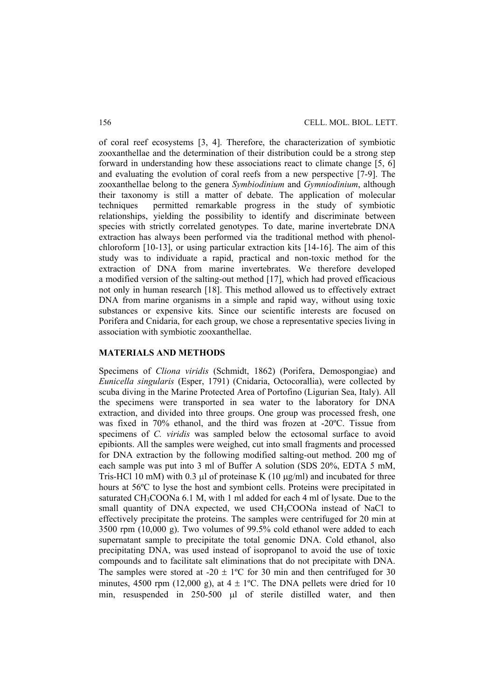of coral reef ecosystems [3, 4]. Therefore, the characterization of symbiotic zooxanthellae and the determination of their distribution could be a strong step forward in understanding how these associations react to climate change [5, 6] and evaluating the evolution of coral reefs from a new perspective [7-9]. The zooxanthellae belong to the genera *Symbiodinium* and *Gymniodinium*, although their taxonomy is still a matter of debate. The application of molecular techniques permitted remarkable progress in the study of symbiotic relationships, yielding the possibility to identify and discriminate between species with strictly correlated genotypes. To date, marine invertebrate DNA extraction has always been performed via the traditional method with phenolchloroform [10-13], or using particular extraction kits [14-16]. The aim of this study was to individuate a rapid, practical and non-toxic method for the extraction of DNA from marine invertebrates. We therefore developed a modified version of the salting-out method [17], which had proved efficacious not only in human research [18]. This method allowed us to effectively extract DNA from marine organisms in a simple and rapid way, without using toxic substances or expensive kits. Since our scientific interests are focused on Porifera and Cnidaria, for each group, we chose a representative species living in association with symbiotic zooxanthellae.

## **MATERIALS AND METHODS**

Specimens of *Cliona viridis* (Schmidt, 1862) (Porifera, Demospongiae) and *Eunicella singularis* (Esper, 1791) (Cnidaria, Octocorallia), were collected by scuba diving in the Marine Protected Area of Portofino (Ligurian Sea, Italy). All the specimens were transported in sea water to the laboratory for DNA extraction, and divided into three groups. One group was processed fresh, one was fixed in 70% ethanol, and the third was frozen at -20ºC. Tissue from specimens of *C. viridis* was sampled below the ectosomal surface to avoid epibionts. All the samples were weighed, cut into small fragments and processed for DNA extraction by the following modified salting-out method. 200 mg of each sample was put into 3 ml of Buffer A solution (SDS 20%, EDTA 5 mM, Tris-HCl 10 mM) with 0.3 μl of proteinase K (10 μg/ml) and incubated for three hours at 56ºC to lyse the host and symbiont cells. Proteins were precipitated in saturated CH<sub>3</sub>COONa 6.1 M, with 1 ml added for each 4 ml of lysate. Due to the small quantity of DNA expected, we used CH<sub>3</sub>COONa instead of NaCl to effectively precipitate the proteins. The samples were centrifuged for 20 min at 3500 rpm (10,000 g). Two volumes of 99.5% cold ethanol were added to each supernatant sample to precipitate the total genomic DNA. Cold ethanol, also precipitating DNA, was used instead of isopropanol to avoid the use of toxic compounds and to facilitate salt eliminations that do not precipitate with DNA. The samples were stored at -20  $\pm$  1°C for 30 min and then centrifuged for 30 minutes, 4500 rpm (12,000 g), at  $4 \pm 1$ °C. The DNA pellets were dried for 10 min, resuspended in 250-500 μl of sterile distilled water, and then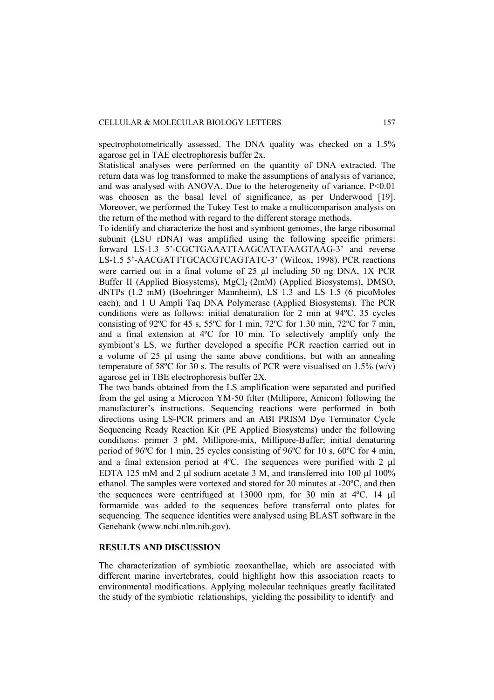spectrophotometrically assessed. The DNA quality was checked on a 1.5% agarose gel in TAE electrophoresis buffer 2x.

Statistical analyses were performed on the quantity of DNA extracted. The return data was log transformed to make the assumptions of analysis of variance, and was analysed with ANOVA. Due to the heterogeneity of variance, P<0.01 was choosen as the basal level of significance, as per Underwood [19]. Moreover, we performed the Tukey Test to make a multicomparison analysis on the return of the method with regard to the different storage methods.

To identify and characterize the host and symbiont genomes, the large ribosomal subunit (LSU rDNA) was amplified using the following specific primers: forward LS-1.3 5'-CGCTGAAATTAAGCATATAAGTAAG-3' and reverse LS-1.5 5'-AACGATTTGCACGTCAGTATC-3' (Wilcox, 1998). PCR reactions were carried out in a final volume of 25 μl including 50 ng DNA, 1X PCR Buffer II (Applied Biosystems),  $MgCl<sub>2</sub>$  (2mM) (Applied Biosystems), DMSO, dNTPs (1.2 mM) (Boehringer Mannheim), LS 1.3 and LS 1.5 (6 picoMoles each), and 1 U Ampli Taq DNA Polymerase (Applied Biosystems). The PCR conditions were as follows: initial denaturation for 2 min at 94ºC, 35 cycles consisting of 92 $^{\circ}$ C for 45 s, 55 $^{\circ}$ C for 1 min, 72 $^{\circ}$ C for 1.30 min, 72 $^{\circ}$ C for 7 min, and a final extension at 4ºC for 10 min. To selectively amplify only the symbiont's LS, we further developed a specific PCR reaction carried out in a volume of 25 μl using the same above conditions, but with an annealing temperature of 58 $\degree$ C for 30 s. The results of PCR were visualised on 1.5% (w/v) agarose gel in TBE electrophoresis buffer 2X.

The two bands obtained from the LS amplification were separated and purified from the gel using a Microcon YM-50 filter (Millipore, Amicon) following the manufacturer's instructions. Sequencing reactions were performed in both directions using LS-PCR primers and an ABI PRISM Dye Terminator Cycle Sequencing Ready Reaction Kit (PE Applied Biosystems) under the following conditions: primer 3 pM, Millipore-mix, Millipore-Buffer; initial denaturing period of 96ºC for 1 min, 25 cycles consisting of 96ºC for 10 s, 60ºC for 4 min, and a final extension period at 4ºC. The sequences were purified with 2 μl EDTA 125 mM and 2 μl sodium acetate 3 M, and transferred into 100 μl 100% ethanol. The samples were vortexed and stored for 20 minutes at -20ºC, and then the sequences were centrifuged at 13000 rpm, for 30 min at 4ºC. 14 μl formamide was added to the sequences before transferral onto plates for sequencing. The sequence identities were analysed using BLAST software in the Genebank (www.ncbi.nlm.nih.gov).

#### **RESULTS AND DISCUSSION**

The characterization of symbiotic zooxanthellae, which are associated with different marine invertebrates, could highlight how this association reacts to environmental modifications. Applying molecular techniques greatly facilitated the study of the symbiotic relationships, yielding the possibility to identify and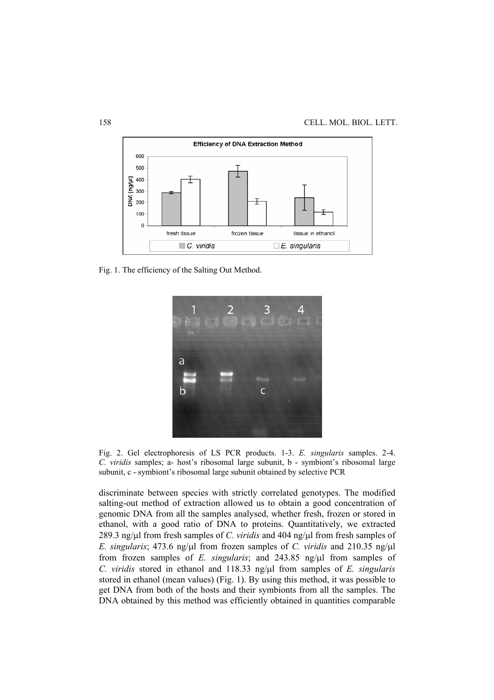

Fig. 1. The efficiency of the Salting Out Method.



Fig. 2. Gel electrophoresis of LS PCR products. 1-3. *E. singularis* samples. 2-4. *C. viridis* samples; a- host's ribosomal large subunit, b - symbiont's ribosomal large subunit, c - symbiont's ribosomal large subunit obtained by selective PCR

discriminate between species with strictly correlated genotypes. The modified salting-out method of extraction allowed us to obtain a good concentration of genomic DNA from all the samples analysed, whether fresh, frozen or stored in ethanol, with a good ratio of DNA to proteins. Quantitatively, we extracted 289.3 ng/μl from fresh samples of *C. viridis* and 404 ng/μl from fresh samples of *E. singularis*; 473.6 ng/μl from frozen samples of *C. viridis* and 210.35 ng/μl from frozen samples of *E. singularis*; and 243.85 ng/μl from samples of *C. viridis* stored in ethanol and 118.33 ng/μl from samples of *E. singularis* stored in ethanol (mean values) (Fig. 1). By using this method, it was possible to get DNA from both of the hosts and their symbionts from all the samples. The DNA obtained by this method was efficiently obtained in quantities comparable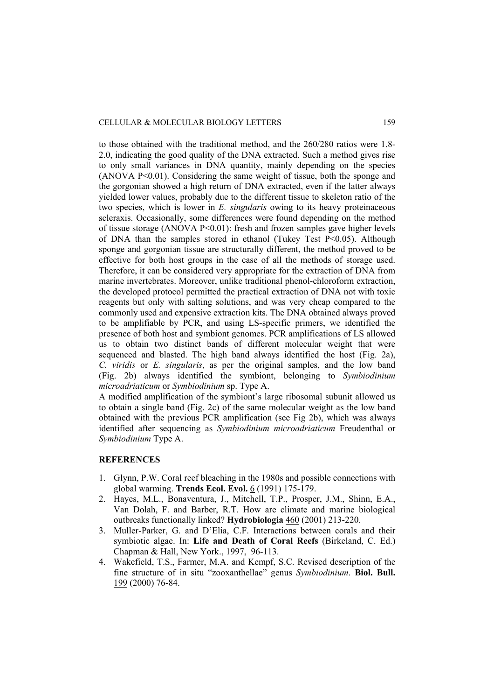to those obtained with the traditional method, and the 260/280 ratios were 1.8- 2.0, indicating the good quality of the DNA extracted. Such a method gives rise to only small variances in DNA quantity, mainly depending on the species (ANOVA P<0.01). Considering the same weight of tissue, both the sponge and the gorgonian showed a high return of DNA extracted, even if the latter always yielded lower values, probably due to the different tissue to skeleton ratio of the two species, which is lower in *E. singularis* owing to its heavy proteinaceous scleraxis. Occasionally, some differences were found depending on the method of tissue storage (ANOVA  $P \le 0.01$ ): fresh and frozen samples gave higher levels of DNA than the samples stored in ethanol (Tukey Test P<0.05). Although sponge and gorgonian tissue are structurally different, the method proved to be effective for both host groups in the case of all the methods of storage used. Therefore, it can be considered very appropriate for the extraction of DNA from marine invertebrates. Moreover, unlike traditional phenol-chloroform extraction, the developed protocol permitted the practical extraction of DNA not with toxic reagents but only with salting solutions, and was very cheap compared to the commonly used and expensive extraction kits. The DNA obtained always proved to be amplifiable by PCR, and using LS-specific primers, we identified the presence of both host and symbiont genomes. PCR amplifications of LS allowed us to obtain two distinct bands of different molecular weight that were sequenced and blasted. The high band always identified the host (Fig. 2a), *C. viridis* or *E. singularis*, as per the original samples, and the low band (Fig. 2b) always identified the symbiont, belonging to *Symbiodinium microadriaticum* or *Symbiodinium* sp. Type A.

A modified amplification of the symbiont's large ribosomal subunit allowed us to obtain a single band (Fig. 2c) of the same molecular weight as the low band obtained with the previous PCR amplification (see Fig 2b), which was always identified after sequencing as *Symbiodinium microadriaticum* Freudenthal or *Symbiodinium* Type A.

### **REFERENCES**

- 1. Glynn, P.W. Coral reef bleaching in the 1980s and possible connections with global warming. **Trends Ecol. Evol.** 6 (1991) 175-179.
- 2. Hayes, M.L., Bonaventura, J., Mitchell, T.P., Prosper, J.M., Shinn, E.A., Van Dolah, F. and Barber, R.T. How are climate and marine biological outbreaks functionally linked? **Hydrobiologia** 460 (2001) 213-220.
- 3. Muller-Parker, G. and D'Elia, C.F. Interactions between corals and their symbiotic algae. In: **Life and Death of Coral Reefs** (Birkeland, C. Ed.) Chapman & Hall, New York., 1997, 96-113.
- 4. Wakefield, T.S., Farmer, M.A. and Kempf, S.C. Revised description of the fine structure of in situ "zooxanthellae" genus *Symbiodinium*. **Biol. Bull.** 199 (2000) 76-84.